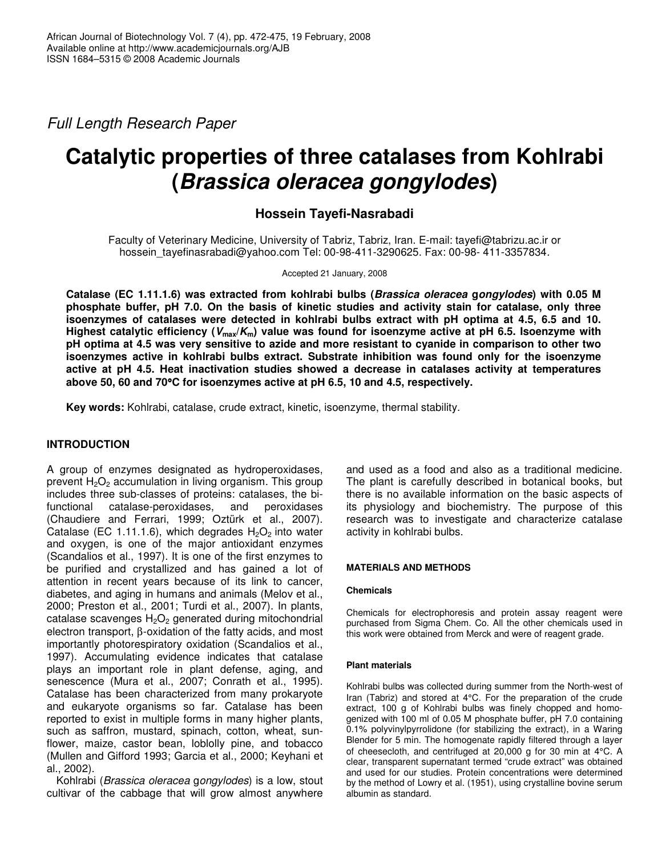*Full Length Research Paper*

# **Catalytic properties of three catalases from Kohlrabi (***Brassica oleracea gongylodes***)**

## **Hossein Tayefi-Nasrabadi**

Faculty of Veterinary Medicine, University of Tabriz, Tabriz, Iran. E-mail: tayefi@tabrizu.ac.ir or hossein\_tayefinasrabadi@yahoo.com Tel: 00-98-411-3290625. Fax: 00-98- 411-3357834*.*

Accepted 21 January, 2008

**Catalase (EC 1.11.1.6) was extracted from kohlrabi bulbs (***Brassica oleracea* **g***ongylodes***) with 0.05 M phosphate buffer, pH 7.0. On the basis of kinetic studies and activity stain for catalase, only three isoenzymes of catalases were detected in kohlrabi bulbs extract with pH optima at 4.5, 6.5 and 10.** Highest catalytic efficiency ( $V_{max}/K_m$ ) value was found for isoenzyme active at pH 6.5. Isoenzyme with pH optima at 4.5 was very sensitive to azide and more resistant to cyanide in comparison to other two **isoenzymes active in kohlrabi bulbs extract. Substrate inhibition was found only for the isoenzyme active at pH 4.5. Heat inactivation studies showed a decrease in catalases activity at temperatures above 50, 60 and 70**°**C for isoenzymes active at pH 6.5, 10 and 4.5, respectively.**

**Key words:** Kohlrabi, catalase, crude extract, kinetic, isoenzyme, thermal stability.

## **INTRODUCTION**

A group of enzymes designated as hydroperoxidases, prevent  $H_2O_2$  accumulation in living organism. This group includes three sub-classes of proteins: catalases, the bifunctional catalase-peroxidases, and peroxidases (Chaudiere and Ferrari, 1999; Oztürk et al., 2007). Catalase (EC 1.11.1.6), which degrades  $H_2O_2$  into water and oxygen, is one of the major antioxidant enzymes (Scandalios et al., 1997). It is one of the first enzymes to be purified and crystallized and has gained a lot of attention in recent years because of its link to cancer, diabetes, and aging in humans and animals (Melov et al., 2000; Preston et al., 2001; Turdi et al., 2007). In plants, catalase scavenges  $H_2O_2$  generated during mitochondrial electron transport, β-oxidation of the fatty acids, and most importantly photorespiratory oxidation (Scandalios et al., 1997). Accumulating evidence indicates that catalase plays an important role in plant defense, aging, and senescence (Mura et al., 2007; Conrath et al., 1995). Catalase has been characterized from many prokaryote and eukaryote organisms so far. Catalase has been reported to exist in multiple forms in many higher plants, such as saffron, mustard, spinach, cotton, wheat, sunflower, maize, castor bean, loblolly pine, and tobacco (Mullen and Gifford 1993; Garcia et al., 2000; Keyhani et al., 2002).

Kohlrabi (*Brassica oleracea* g*ongylodes*) is a low, stout cultivar of the cabbage that will grow almost anywhere

and used as a food and also as a traditional medicine. The plant is carefully described in botanical books, but there is no available information on the basic aspects of its physiology and biochemistry. The purpose of this research was to investigate and characterize catalase activity in kohlrabi bulbs.

## **MATERIALS AND METHODS**

## **Chemicals**

Chemicals for electrophoresis and protein assay reagent were purchased from Sigma Chem. Co. All the other chemicals used in this work were obtained from Merck and were of reagent grade.

## **Plant materials**

Kohlrabi bulbs was collected during summer from the North-west of Iran (Tabriz) and stored at 4°C. For the preparation of the crude extract, 100 g of Kohlrabi bulbs was finely chopped and homogenized with 100 ml of 0.05 M phosphate buffer, pH 7.0 containing 0.1% polyvinylpyrrolidone (for stabilizing the extract), in a Waring Blender for 5 min. The homogenate rapidly filtered through a layer of cheesecloth, and centrifuged at 20,000 g for 30 min at 4°C. A clear, transparent supernatant termed "crude extract" was obtained and used for our studies. Protein concentrations were determined by the method of Lowry et al. (1951), using crystalline bovine serum albumin as standard.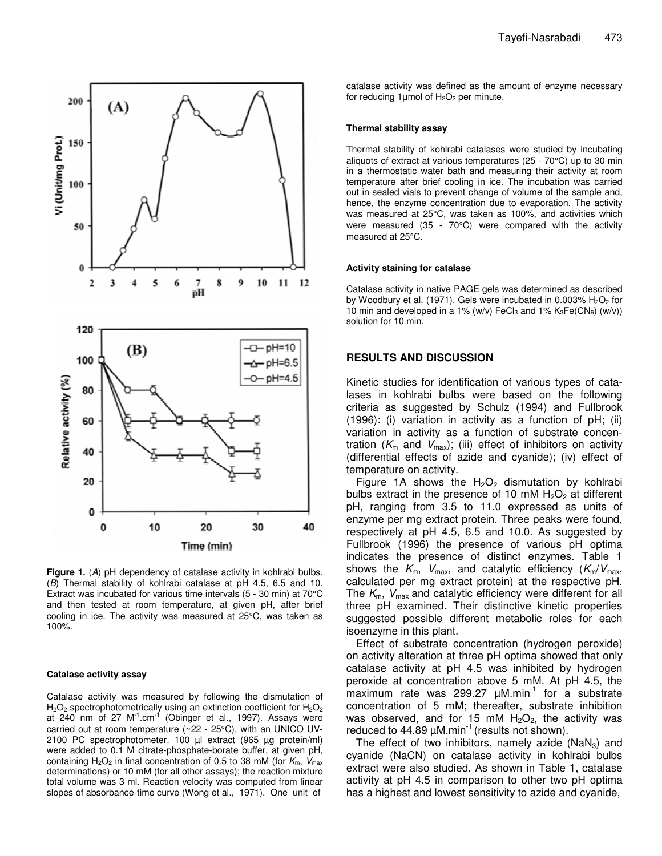

**Figure 1.** (*A*) pH dependency of catalase activity in kohlrabi bulbs. (*B*) Thermal stability of kohlrabi catalase at pH 4.5, 6.5 and 10. Extract was incubated for various time intervals (5 - 30 min) at 70°C and then tested at room temperature, at given pH, after brief cooling in ice. The activity was measured at 25°C, was taken as 100%.

#### **Catalase activity assay**

Catalase activity was measured by following the dismutation of  $\mathsf{H}_{2}\mathsf{O}_{2}$  spectrophotometrically using an extinction coefficient for  $\mathsf{H}_{2}\mathsf{O}_{2}$ at 240 nm of 27 M<sup>-1</sup>.cm<sup>-1</sup> (Obinger et al., 1997). Assays were carried out at room temperature (~22 - 25°C), with an UNICO UV-2100 PC spectrophotometer. 100 µl extract (965 µg protein/ml) were added to 0.1 M citrate-phosphate-borate buffer, at given pH, containing  $H_2O_2$  in final concentration of 0.5 to 38 mM (for  $K_m$ ,  $V_{max}$ determinations) or 10 mM (for all other assays); the reaction mixture total volume was 3 ml. Reaction velocity was computed from linear slopes of absorbance-time curve (Wong et al., 1971). One unit of

catalase activity was defined as the amount of enzyme necessary for reducing 1µmol of  $H_2O_2$  per minute.

#### **Thermal stability assay**

Thermal stability of kohlrabi catalases were studied by incubating aliquots of extract at various temperatures (25 - 70°C) up to 30 min in a thermostatic water bath and measuring their activity at room temperature after brief cooling in ice. The incubation was carried out in sealed vials to prevent change of volume of the sample and, hence, the enzyme concentration due to evaporation. The activity was measured at 25°C, was taken as 100%, and activities which were measured (35 - 70°C) were compared with the activity measured at 25°C.

#### **Activity staining for catalase**

Catalase activity in native PAGE gels was determined as described by Woodbury et al. (1971). Gels were incubated in 0.003%  $H_2O_2$  for 10 min and developed in a 1% (w/v) FeCl<sub>3</sub> and 1%  $K_3Fe(CN_6)$  (w/v)) solution for 10 min.

## **RESULTS AND DISCUSSION**

Kinetic studies for identification of various types of catalases in kohlrabi bulbs were based on the following criteria as suggested by Schulz (1994) and Fullbrook (1996): (i) variation in activity as a function of pH; (ii) variation in activity as a function of substrate concentration ( $K<sub>m</sub>$  and  $V<sub>max</sub>$ ); (iii) effect of inhibitors on activity (differential effects of azide and cyanide); (iv) effect of temperature on activity.

Figure 1A shows the  $H_2O_2$  dismutation by kohlrabi bulbs extract in the presence of 10 mM  $H_2O_2$  at different pH, ranging from 3.5 to 11.0 expressed as units of enzyme per mg extract protein. Three peaks were found, respectively at pH 4.5, 6.5 and 10.0. As suggested by Fullbrook (1996) the presence of various pH optima indicates the presence of distinct enzymes. Table 1 shows the  $K_m$ ,  $V_{\text{max}}$ , and catalytic efficiency  $(K_m/V_{\text{max}})$ calculated per mg extract protein) at the respective pH. The *K*m, *V*max and catalytic efficiency were different for all three pH examined. Their distinctive kinetic properties suggested possible different metabolic roles for each isoenzyme in this plant.

Effect of substrate concentration (hydrogen peroxide) on activity alteration at three pH optima showed that only catalase activity at pH 4.5 was inhibited by hydrogen peroxide at concentration above 5 mM. At pH 4.5, the .<br>maximum rate was 299.27 µM.min<sup>-1</sup> for a substrate concentration of 5 mM; thereafter, substrate inhibition was observed, and for 15 mM  $H_2O_2$ , the activity was reduced to 44.89  $\mu$ M.min<sup>-1</sup> (results not shown).

The effect of two inhibitors, namely azide ( $NaN<sub>3</sub>$ ) and cyanide (NaCN) on catalase activity in kohlrabi bulbs extract were also studied. As shown in Table 1, catalase activity at pH 4.5 in comparison to other two pH optima has a highest and lowest sensitivity to azide and cyanide,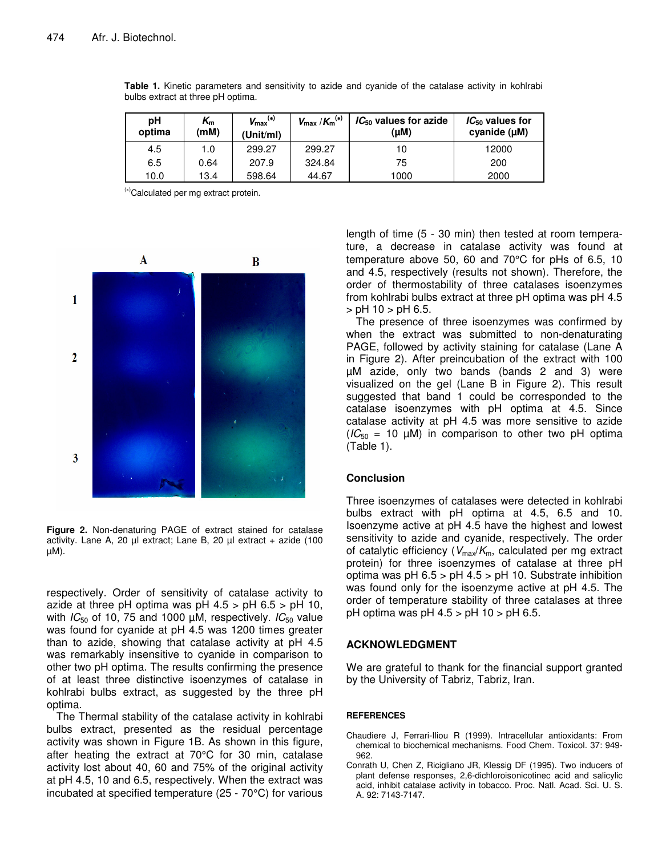| рH<br>optima | $\boldsymbol{\mathsf{K}}_{\mathsf{m}}$<br>(mM) | $V_{\text{max}}^{(*)}$<br>(Unit/ml) | $V_{\text{max}}$ / $K_{\text{m}}^{(*)}$ | $IC_{50}$ values for azide<br>$(\mu M)$ | $IC_{50}$ values for<br>cyanide $(\mu M)$ |
|--------------|------------------------------------------------|-------------------------------------|-----------------------------------------|-----------------------------------------|-------------------------------------------|
| 4.5          | 1.0                                            | 299.27                              | 299.27                                  | 10                                      | 12000                                     |
| 6.5          | 0.64                                           | 207.9                               | 324.84                                  | 75                                      | 200                                       |
| 10.0         | 13.4                                           | 598.64                              | 44.67                                   | 1000                                    | 2000                                      |

**Table 1.** Kinetic parameters and sensitivity to azide and cyanide of the catalase activity in kohlrabi bulbs extract at three pH optima.

(∗)Calculated per mg extract protein.



**Figure 2.** Non-denaturing PAGE of extract stained for catalase activity. Lane A, 20 µl extract; Lane B, 20 µl extract + azide (100 µM).

respectively. Order of sensitivity of catalase activity to azide at three pH optima was pH  $4.5 > pH 6.5 > pH 10$ , with *IC*<sub>50</sub> of 10, 75 and 1000 μM, respectively. *IC*<sub>50</sub> value was found for cyanide at pH 4.5 was 1200 times greater than to azide, showing that catalase activity at pH 4.5 was remarkably insensitive to cyanide in comparison to other two pH optima. The results confirming the presence of at least three distinctive isoenzymes of catalase in kohlrabi bulbs extract, as suggested by the three pH optima.

The Thermal stability of the catalase activity in kohlrabi bulbs extract, presented as the residual percentage activity was shown in Figure 1B. As shown in this figure, after heating the extract at 70°C for 30 min, catalase activity lost about 40, 60 and 75% of the original activity at pH 4.5, 10 and 6.5, respectively. When the extract was incubated at specified temperature (25 - 70°C) for various

length of time (5 - 30 min) then tested at room temperature, a decrease in catalase activity was found at temperature above 50, 60 and 70°C for pHs of 6.5, 10 and 4.5, respectively (results not shown). Therefore, the order of thermostability of three catalases isoenzymes from kohlrabi bulbs extract at three pH optima was pH 4.5  $>$  pH 10  $>$  pH 6.5.

The presence of three isoenzymes was confirmed by when the extract was submitted to non-denaturating PAGE, followed by activity staining for catalase (Lane A in Figure 2). After preincubation of the extract with 100 µM azide, only two bands (bands 2 and 3) were visualized on the gel (Lane B in Figure 2). This result suggested that band 1 could be corresponded to the catalase isoenzymes with pH optima at 4.5. Since catalase activity at pH 4.5 was more sensitive to azide  $(IC_{50} = 10 \mu M)$  in comparison to other two pH optima (Table 1).

## **Conclusion**

Three isoenzymes of catalases were detected in kohlrabi bulbs extract with pH optima at 4.5, 6.5 and 10. Isoenzyme active at pH 4.5 have the highest and lowest sensitivity to azide and cyanide, respectively. The order of catalytic efficiency ( $V_{\text{max}}/K_{\text{m}}$ , calculated per mg extract protein) for three isoenzymes of catalase at three pH optima was pH  $6.5 >$  pH  $4.5 >$  pH 10. Substrate inhibition was found only for the isoenzyme active at pH 4.5. The order of temperature stability of three catalases at three pH optima was pH 4.5 > pH 10 > pH 6.5.

## **ACKNOWLEDGMENT**

We are grateful to thank for the financial support granted by the University of Tabriz, Tabriz, Iran.

## **REFERENCES**

- Chaudiere J, Ferrari-Iliou R (1999). Intracellular antioxidants: From chemical to biochemical mechanisms. Food Chem. Toxicol. 37: 949- 962.
- Conrath U, Chen Z, Ricigliano JR, Klessig DF (1995). Two inducers of plant defense responses, 2,6-dichloroisonicotinec acid and salicylic acid, inhibit catalase activity in tobacco. Proc. Natl. Acad. Sci. U. S. A. 92: 7143-7147.